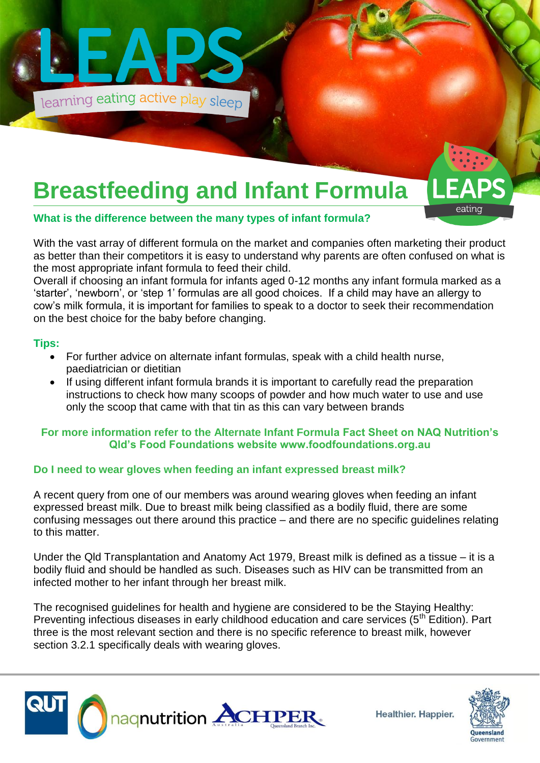

# **Breastfeeding and Infant Formula**



With the vast array of different formula on the market and companies often marketing their product as better than their competitors it is easy to understand why parents are often confused on what is the most appropriate infant formula to feed their child.

Overall if choosing an infant formula for infants aged 0-12 months any infant formula marked as a 'starter', 'newborn', or 'step 1' formulas are all good choices. If a child may have an allergy to cow's milk formula, it is important for families to speak to a doctor to seek their recommendation on the best choice for the baby before changing.

#### **Tips:**

- For further advice on alternate infant formulas, speak with a child health nurse, paediatrician or dietitian
- If using different infant formula brands it is important to carefully read the preparation instructions to check how many scoops of powder and how much water to use and use only the scoop that came with that tin as this can vary between brands

### **For more information refer to the Alternate Infant Formula Fact Sheet on NAQ Nutrition's Qld's Food Foundations website www.foodfoundations.org.au**

### **Do I need to wear gloves when feeding an infant expressed breast milk?**

A recent query from one of our members was around wearing gloves when feeding an infant expressed breast milk. Due to breast milk being classified as a bodily fluid, there are some confusing messages out there around this practice – and there are no specific guidelines relating to this matter.

Under the Qld Transplantation and Anatomy Act 1979, Breast milk is defined as a tissue – it is a bodily fluid and should be handled as such. Diseases such as HIV can be transmitted from an infected mother to her infant through her breast milk.

The recognised guidelines for health and hygiene are considered to be the Staying Healthy: Preventing infectious diseases in early childhood education and care services (5<sup>th</sup> Edition). Part three is the most relevant section and there is no specific reference to breast milk, however section 3.2.1 specifically deals with wearing gloves.







eating